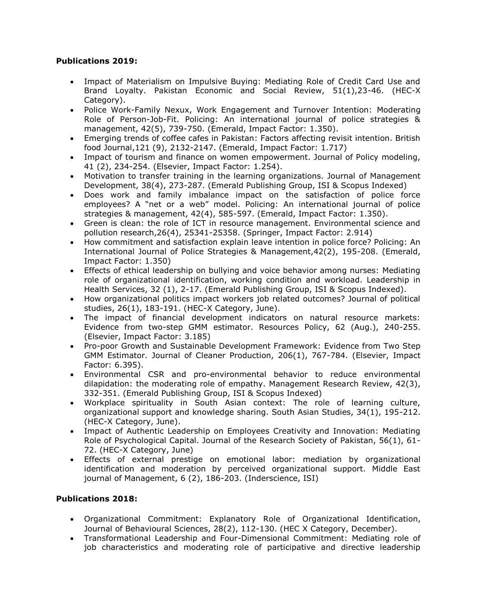## **Publications 2019:**

- Impact of Materialism on Impulsive Buying: Mediating Role of Credit Card Use and Brand Loyalty. Pakistan Economic and Social Review, 51(1),23-46. (HEC-X Category).
- Police Work-Family Nexux, Work Engagement and Turnover Intention: Moderating Role of Person-Job-Fit. Policing: An international journal of police strategies & management, 42(5), 739-750. (Emerald, Impact Factor: 1.350).
- Emerging trends of coffee cafes in Pakistan: Factors affecting revisit intention. British food Journal,121 (9), 2132-2147. (Emerald, Impact Factor: 1.717)
- Impact of tourism and finance on women empowerment. Journal of Policy modeling, 41 (2), 234-254. (Elsevier, Impact Factor: 1.254).
- Motivation to transfer training in the learning organizations. Journal of Management Development, 38(4), 273-287. (Emerald Publishing Group, ISI & Scopus Indexed)
- Does work and family imbalance impact on the satisfaction of police force employees? A "net or a web" model. Policing: An international journal of police strategies & management, 42(4), 585-597. (Emerald, Impact Factor: 1.350).
- Green is clean: the role of ICT in resource management. Environmental science and pollution research,26(4), 25341-25358. (Springer, Impact Factor: 2.914)
- How commitment and satisfaction explain leave intention in police force? Policing: An International Journal of Police Strategies & Management,42(2), 195-208. (Emerald, Impact Factor: 1.350)
- Effects of ethical leadership on bullying and voice behavior among nurses: Mediating role of organizational identification, working condition and workload. Leadership in Health Services, 32 (1), 2-17. (Emerald Publishing Group, ISI & Scopus Indexed).
- How organizational politics impact workers job related outcomes? Journal of political studies, 26(1), 183-191. (HEC-X Category, June).
- The impact of financial development indicators on natural resource markets: Evidence from two-step GMM estimator. Resources Policy, 62 (Aug.), 240-255. (Elsevier, Impact Factor: 3.185)
- Pro-poor Growth and Sustainable Development Framework: Evidence from Two Step GMM Estimator. Journal of Cleaner Production, 206(1), 767-784. (Elsevier, Impact Factor: 6.395).
- Environmental CSR and pro-environmental behavior to reduce environmental dilapidation: the moderating role of empathy. Management Research Review, 42(3), 332-351. (Emerald Publishing Group, ISI & Scopus Indexed)
- Workplace spirituality in South Asian context: The role of learning culture, organizational support and knowledge sharing. South Asian Studies, 34(1), 195-212. (HEC-X Category, June).
- Impact of Authentic Leadership on Employees Creativity and Innovation: Mediating Role of Psychological Capital. Journal of the Research Society of Pakistan, 56(1), 61- 72. (HEC-X Category, June)
- Effects of external prestige on emotional labor: mediation by organizational identification and moderation by perceived organizational support. Middle East journal of Management, 6 (2), 186-203. (Inderscience, ISI)

## **Publications 2018:**

- Organizational Commitment: Explanatory Role of Organizational Identification, Journal of Behavioural Sciences, 28(2), 112-130. (HEC X Category, December).
- Transformational Leadership and Four-Dimensional Commitment: Mediating role of job characteristics and moderating role of participative and directive leadership